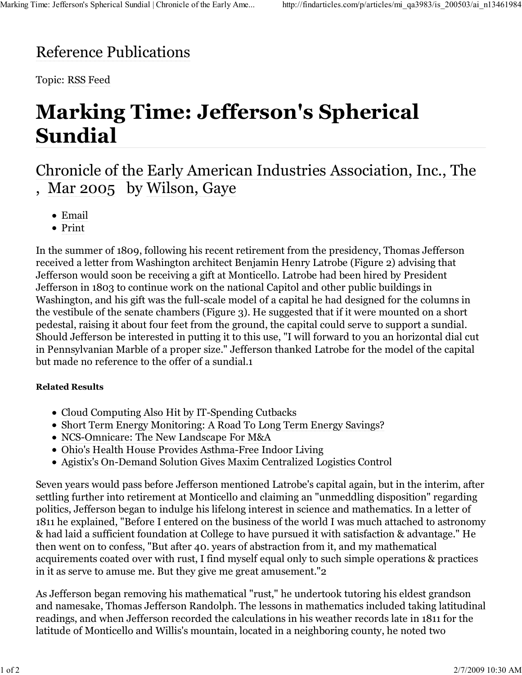## Reference Publications

Topic: RSS Feed

## **Marking Time: Jefferson's Spherical Sundial**

## Chronicle of the Early American Industries Association, Inc., The , Mar 2005 by Wilson, Gaye

- Email
- Print

In the summer of 1809, following his recent retirement from the presidency, Thomas Jefferson received a letter from Washington architect Benjamin Henry Latrobe (Figure 2) advising that Jefferson would soon be receiving a gift at Monticello. Latrobe had been hired by President Jefferson in 1803 to continue work on the national Capitol and other public buildings in Washington, and his gift was the full-scale model of a capital he had designed for the columns in the vestibule of the senate chambers (Figure 3). He suggested that if it were mounted on a short pedestal, raising it about four feet from the ground, the capital could serve to support a sundial. Should Jefferson be interested in putting it to this use, "I will forward to you an horizontal dial cut in Pennsylvanian Marble of a proper size." Jefferson thanked Latrobe for the model of the capital but made no reference to the offer of a sundial.1

## **Related Results**

- Cloud Computing Also Hit by IT-Spending Cutbacks
- Short Term Energy Monitoring: A Road To Long Term Energy Savings?
- NCS-Omnicare: The New Landscape For M&A
- Ohio's Health House Provides Asthma-Free Indoor Living
- Agistix's On-Demand Solution Gives Maxim Centralized Logistics Control

Seven years would pass before Jefferson mentioned Latrobe's capital again, but in the interim, after settling further into retirement at Monticello and claiming an "unmeddling disposition" regarding politics, Jefferson began to indulge his lifelong interest in science and mathematics. In a letter of 1811 he explained, "Before I entered on the business of the world I was much attached to astronomy & had laid a sufficient foundation at College to have pursued it with satisfaction & advantage." He then went on to confess, "But after 40. years of abstraction from it, and my mathematical acquirements coated over with rust, I find myself equal only to such simple operations & practices in it as serve to amuse me. But they give me great amusement."2

As Jefferson began removing his mathematical "rust," he undertook tutoring his eldest grandson and namesake, Thomas Jefferson Randolph. The lessons in mathematics included taking latitudinal readings, and when Jefferson recorded the calculations in his weather records late in 1811 for the latitude of Monticello and Willis's mountain, located in a neighboring county, he noted two